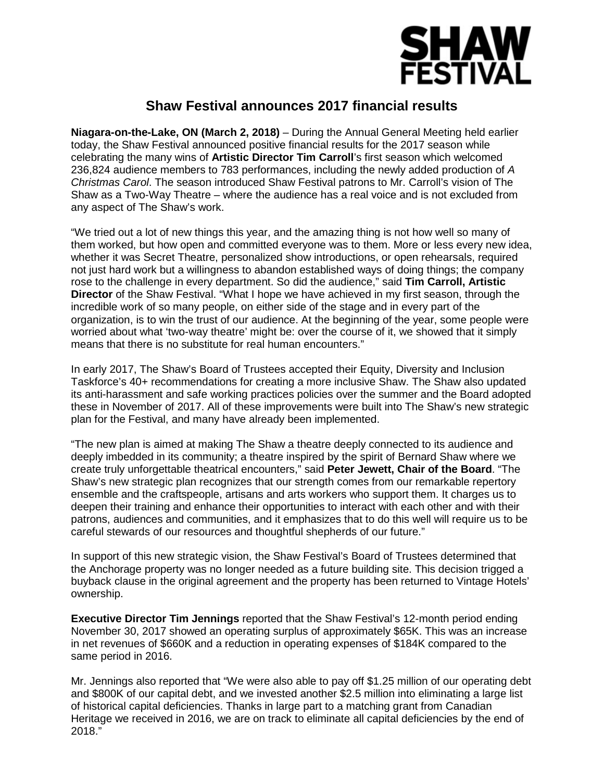

## **Shaw Festival announces 2017 financial results**

**Niagara-on-the-Lake, ON (March 2, 2018)** – During the Annual General Meeting held earlier today, the Shaw Festival announced positive financial results for the 2017 season while celebrating the many wins of **Artistic Director Tim Carroll**'s first season which welcomed 236,824 audience members to 783 performances, including the newly added production of *A Christmas Carol*. The season introduced Shaw Festival patrons to Mr. Carroll's vision of The Shaw as a Two-Way Theatre – where the audience has a real voice and is not excluded from any aspect of The Shaw's work.

"We tried out a lot of new things this year, and the amazing thing is not how well so many of them worked, but how open and committed everyone was to them. More or less every new idea, whether it was Secret Theatre, personalized show introductions, or open rehearsals, required not just hard work but a willingness to abandon established ways of doing things; the company rose to the challenge in every department. So did the audience," said **Tim Carroll, Artistic Director** of the Shaw Festival. "What I hope we have achieved in my first season, through the incredible work of so many people, on either side of the stage and in every part of the organization, is to win the trust of our audience. At the beginning of the year, some people were worried about what 'two-way theatre' might be: over the course of it, we showed that it simply means that there is no substitute for real human encounters."

In early 2017, The Shaw's Board of Trustees accepted their Equity, Diversity and Inclusion Taskforce's 40+ recommendations for creating a more inclusive Shaw. The Shaw also updated its anti-harassment and safe working practices policies over the summer and the Board adopted these in November of 2017. All of these improvements were built into The Shaw's new strategic plan for the Festival, and many have already been implemented.

"The new plan is aimed at making The Shaw a theatre deeply connected to its audience and deeply imbedded in its community; a theatre inspired by the spirit of Bernard Shaw where we create truly unforgettable theatrical encounters," said **Peter Jewett, Chair of the Board**. "The Shaw's new strategic plan recognizes that our strength comes from our remarkable repertory ensemble and the craftspeople, artisans and arts workers who support them. It charges us to deepen their training and enhance their opportunities to interact with each other and with their patrons, audiences and communities, and it emphasizes that to do this well will require us to be careful stewards of our resources and thoughtful shepherds of our future."

In support of this new strategic vision, the Shaw Festival's Board of Trustees determined that the Anchorage property was no longer needed as a future building site. This decision trigged a buyback clause in the original agreement and the property has been returned to Vintage Hotels' ownership.

**Executive Director Tim Jennings** reported that the Shaw Festival's 12-month period ending November 30, 2017 showed an operating surplus of approximately \$65K. This was an increase in net revenues of \$660K and a reduction in operating expenses of \$184K compared to the same period in 2016.

Mr. Jennings also reported that "We were also able to pay off \$1.25 million of our operating debt and \$800K of our capital debt, and we invested another \$2.5 million into eliminating a large list of historical capital deficiencies. Thanks in large part to a matching grant from Canadian Heritage we received in 2016, we are on track to eliminate all capital deficiencies by the end of 2018."